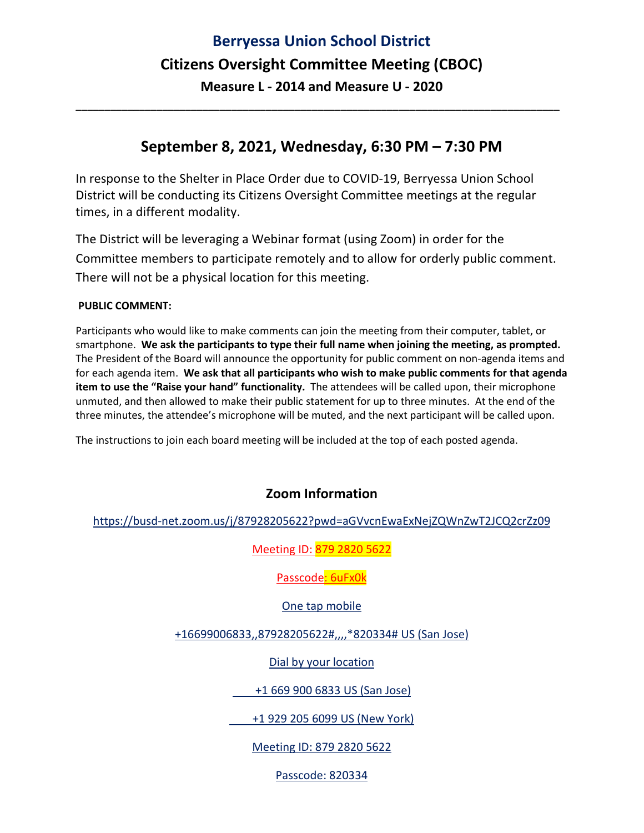# **Berryessa Union School District Citizens Oversight Committee Meeting (CBOC) Measure L - 2014 and Measure U - 2020**

### **September 8, 2021, Wednesday, 6:30 PM – 7:30 PM**

**\_\_\_\_\_\_\_\_\_\_\_\_\_\_\_\_\_\_\_\_\_\_\_\_\_\_\_\_\_\_\_\_\_\_\_\_\_\_\_\_\_\_\_\_\_\_\_\_\_\_\_\_\_\_\_\_\_\_\_\_\_\_\_\_\_\_\_\_\_\_\_\_\_\_\_\_\_\_\_\_\_\_\_\_**

In response to the Shelter in Place Order due to COVID-19, Berryessa Union School District will be conducting its Citizens Oversight Committee meetings at the regular times, in a different modality.

The District will be leveraging a Webinar format (using Zoom) in order for the Committee members to participate remotely and to allow for orderly public comment. There will not be a physical location for this meeting.

#### **PUBLIC COMMENT:**

Participants who would like to make comments can join the meeting from their computer, tablet, or smartphone. **We ask the participants to type their full name when joining the meeting, as prompted.** The President of the Board will announce the opportunity for public comment on non-agenda items and for each agenda item. **We ask that all participants who wish to make public comments for that agenda item to use the "Raise your hand" functionality.** The attendees will be called upon, their microphone unmuted, and then allowed to make their public statement for up to three minutes. At the end of the three minutes, the attendee's microphone will be muted, and the next participant will be called upon.

The instructions to join each board meeting will be included at the top of each posted agenda.

### **Zoom Information**

https://busd-net.zoom.us/j/87928205622?pwd=aGVvcnEwaExNejZQWnZwT2JCQ2crZz09

Meeting ID: 879 2820 5622

Passcode: 6uFx0k

One tap mobile

+16699006833,,87928205622#,,,,\*820334# US (San Jose)

Dial by your location

+1 669 900 6833 US (San Jose)

+1 929 205 6099 US (New York)

Meeting ID: 879 2820 5622

Passcode: 820334